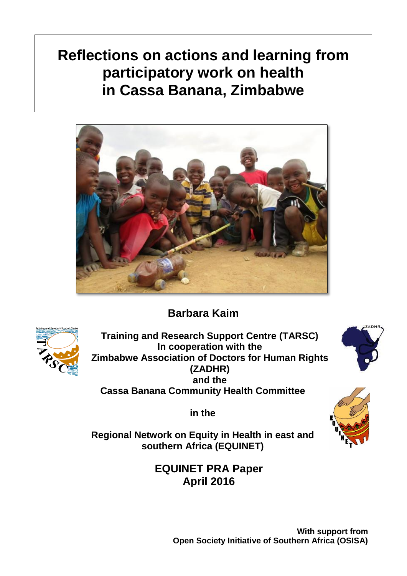# **Reflections on actions and learning from participatory work on health in Cassa Banana, Zimbabwe**



**Barbara Kaim**



**Training and Research Support Centre (TARSC) In cooperation with the Zimbabwe Association of Doctors for Human Rights (ZADHR) and the Cassa Banana Community Health Committee**



**in the**



**Regional Network on Equity in Health in east and southern Africa (EQUINET)**

> **EQUINET PRA Paper April 2016**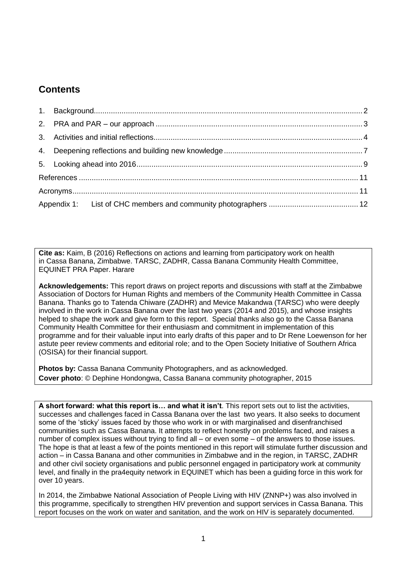## **Contents**

**Cite as:** Kaim, B (2016) Reflections on actions and learning from participatory work on health in Cassa Banana, Zimbabwe. TARSC, ZADHR, Cassa Banana Community Health Committee, EQUINET PRA Paper. Harare

**Acknowledgements:** This report draws on project reports and discussions with staff at the Zimbabwe Association of Doctors for Human Rights and members of the Community Health Committee in Cassa Banana. Thanks go to Tatenda Chiware (ZADHR) and Mevice Makandwa (TARSC) who were deeply involved in the work in Cassa Banana over the last two years (2014 and 2015), and whose insights helped to shape the work and give form to this report. Special thanks also go to the Cassa Banana Community Health Committee for their enthusiasm and commitment in implementation of this programme and for their valuable input into early drafts of this paper and to Dr Rene Loewenson for her astute peer review comments and editorial role; and to the Open Society Initiative of Southern Africa (OSISA) for their financial support.

**Photos by:** Cassa Banana Community Photographers, and as acknowledged. **Cover photo**: © Dephine Hondongwa, Cassa Banana community photographer, 2015

**A short forward: what this report is… and what it isn't**. This report sets out to list the activities, successes and challenges faced in Cassa Banana over the last two years. It also seeks to document some of the 'sticky' issues faced by those who work in or with marginalised and disenfranchised communities such as Cassa Banana. It attempts to reflect honestly on problems faced, and raises a number of complex issues without trying to find all – or even some – of the answers to those issues. The hope is that at least a few of the points mentioned in this report will stimulate further discussion and action – in Cassa Banana and other communities in Zimbabwe and in the region, in TARSC, ZADHR and other civil society organisations and public personnel engaged in participatory work at community level, and finally in the pra4equity network in EQUINET which has been a guiding force in this work for over 10 years.

In 2014, the Zimbabwe National Association of People Living with HIV (ZNNP+) was also involved in this programme, specifically to strengthen HIV prevention and support services in Cassa Banana. This report focuses on the work on water and sanitation, and the work on HIV is separately documented.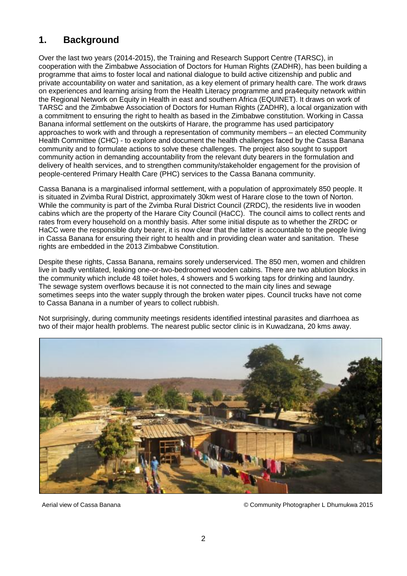#### <span id="page-2-0"></span>**1. Background**

Over the last two years (2014-2015), the Training and Research Support Centre (TARSC), in cooperation with the Zimbabwe Association of Doctors for Human Rights (ZADHR), has been building a programme that aims to foster local and national dialogue to build active citizenship and public and private accountability on water and sanitation, as a key element of primary health care. The work draws on experiences and learning arising from the Health Literacy programme and pra4equity network within the Regional Network on Equity in Health in east and southern Africa (EQUINET). It draws on work of TARSC and the Zimbabwe Association of Doctors for Human Rights (ZADHR), a local organization with a commitment to ensuring the right to health as based in the Zimbabwe constitution. Working in Cassa Banana informal settlement on the outskirts of Harare, the programme has used participatory approaches to work with and through a representation of community members – an elected Community Health Committee (CHC) - to explore and document the health challenges faced by the Cassa Banana community and to formulate actions to solve these challenges. The project also sought to support community action in demanding accountability from the relevant duty bearers in the formulation and delivery of health services, and to strengthen community/stakeholder engagement for the provision of people-centered Primary Health Care (PHC) services to the Cassa Banana community.

Cassa Banana is a marginalised informal settlement, with a population of approximately 850 people. It is situated in Zvimba Rural District, approximately 30km west of Harare close to the town of Norton. While the community is part of the Zvimba Rural District Council (ZRDC), the residents live in wooden cabins which are the property of the Harare City Council (HaCC). The council aims to collect rents and rates from every household on a monthly basis. After some initial dispute as to whether the ZRDC or HaCC were the responsible duty bearer, it is now clear that the latter is accountable to the people living in Cassa Banana for ensuring their right to health and in providing clean water and sanitation. These rights are embedded in the 2013 Zimbabwe Constitution.

Despite these rights, Cassa Banana, remains sorely underserviced. The 850 men, women and children live in badly ventilated, leaking one-or-two-bedroomed wooden cabins. There are two ablution blocks in the community which include 48 toilet holes, 4 showers and 5 working taps for drinking and laundry. The sewage system overflows because it is not connected to the main city lines and sewage sometimes seeps into the water supply through the broken water pipes. Council trucks have not come to Cassa Banana in a number of years to collect rubbish.

Not surprisingly, during community meetings residents identified intestinal parasites and diarrhoea as two of their major health problems. The nearest public sector clinic is in Kuwadzana, 20 kms away.



Aerial view of Cassa Banana © Community Photographer L Dhumukwa 2015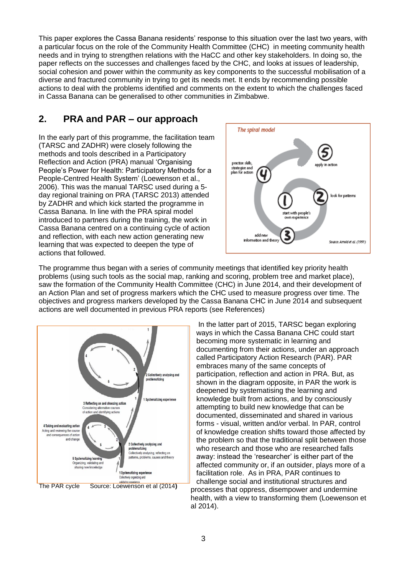This paper explores the Cassa Banana residents' response to this situation over the last two years, with a particular focus on the role of the Community Health Committee (CHC) in meeting community health needs and in trying to strengthen relations with the HaCC and other key stakeholders. In doing so, the paper reflects on the successes and challenges faced by the CHC, and looks at issues of leadership, social cohesion and power within the community as key components to the successful mobilisation of a diverse and fractured community in trying to get its needs met. It ends by recommending possible actions to deal with the problems identified and comments on the extent to which the challenges faced in Cassa Banana can be generalised to other communities in Zimbabwe.

## <span id="page-3-0"></span>**2. PRA and PAR – our approach**

In the early part of this programme, the facilitation team (TARSC and ZADHR) were closely following the methods and tools described in a Participatory Reflection and Action (PRA) manual 'Organising People's Power for Health: Participatory Methods for a People-Centred Health System' (Loewenson et al., 2006). This was the manual TARSC used during a 5 day regional training on PRA (TARSC 2013) attended by ZADHR and which kick started the programme in Cassa Banana. In line with the PRA spiral model introduced to partners during the training, the work in Cassa Banana centred on a continuing cycle of action and reflection, with each new action generating new learning that was expected to deepen the type of actions that followed.



The programme thus began with a series of community meetings that identified key priority health problems (using such tools as the social map, ranking and scoring, problem tree and market place), saw the formation of the Community Health Committee (CHC) in June 2014, and their development of an Action Plan and set of progress markers which the CHC used to measure progress over time. The objectives and progress markers developed by the Cassa Banana CHC in June 2014 and subsequent actions are well documented in previous PRA reports (see References)



In the latter part of 2015, TARSC began exploring ways in which the Cassa Banana CHC could start becoming more systematic in learning and documenting from their actions, under an approach called Participatory Action Research (PAR). PAR embraces many of the same concepts of participation, reflection and action in PRA. But, as shown in the diagram opposite, in PAR the work is deepened by systematising the learning and knowledge built from actions, and by consciously attempting to build new knowledge that can be documented, disseminated and shared in various forms - visual, written and/or verbal. In PAR, control of knowledge creation shifts toward those affected by the problem so that the traditional split between those who research and those who are researched falls away: instead the 'researcher' is either part of the affected community or, if an outsider, plays more of a facilitation role. As in PRA, PAR continues to challenge social and institutional structures and processes that oppress, disempower and undermine health, with a view to transforming them (Loewenson et

al 2014).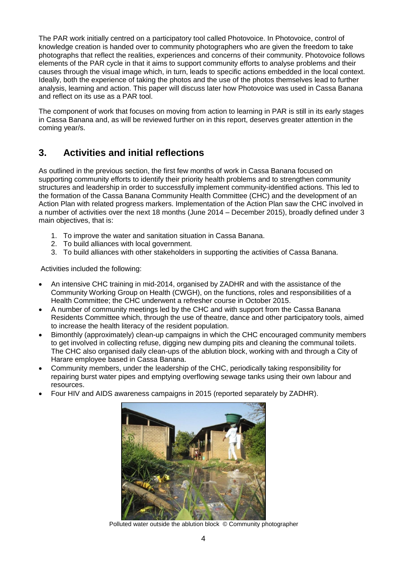The PAR work initially centred on a participatory tool called Photovoice. In Photovoice, control of knowledge creation is handed over to community photographers who are given the freedom to take photographs that reflect the realities, experiences and concerns of their community. Photovoice follows elements of the PAR cycle in that it aims to support community efforts to analyse problems and their causes through the visual image which, in turn, leads to specific actions embedded in the local context. Ideally, both the experience of taking the photos and the use of the photos themselves lead to further analysis, learning and action. This paper will discuss later how Photovoice was used in Cassa Banana and reflect on its use as a PAR tool.

The component of work that focuses on moving from action to learning in PAR is still in its early stages in Cassa Banana and, as will be reviewed further on in this report, deserves greater attention in the coming year/s.

## <span id="page-4-0"></span>**3. Activities and initial reflections**

As outlined in the previous section, the first few months of work in Cassa Banana focused on supporting community efforts to identify their priority health problems and to strengthen community structures and leadership in order to successfully implement community-identified actions. This led to the formation of the Cassa Banana Community Health Committee (CHC) and the development of an Action Plan with related progress markers. Implementation of the Action Plan saw the CHC involved in a number of activities over the next 18 months (June 2014 – December 2015), broadly defined under 3 main objectives, that is:

- 1. To improve the water and sanitation situation in Cassa Banana.
- 2. To build alliances with local government.
- 3. To build alliances with other stakeholders in supporting the activities of Cassa Banana.

Activities included the following:

- An intensive CHC training in mid-2014, organised by ZADHR and with the assistance of the Community Working Group on Health (CWGH), on the functions, roles and responsibilities of a Health Committee; the CHC underwent a refresher course in October 2015.
- A number of community meetings led by the CHC and with support from the Cassa Banana Residents Committee which, through the use of theatre, dance and other participatory tools, aimed to increase the health literacy of the resident population.
- Bimonthly (approximately) clean-up campaigns in which the CHC encouraged community members to get involved in collecting refuse, digging new dumping pits and cleaning the communal toilets. The CHC also organised daily clean-ups of the ablution block, working with and through a City of Harare employee based in Cassa Banana.
- Community members, under the leadership of the CHC, periodically taking responsibility for repairing burst water pipes and emptying overflowing sewage tanks using their own labour and resources.
- Four HIV and AIDS awareness campaigns in 2015 (reported separately by ZADHR).



Polluted water outside the ablution block © Community photographer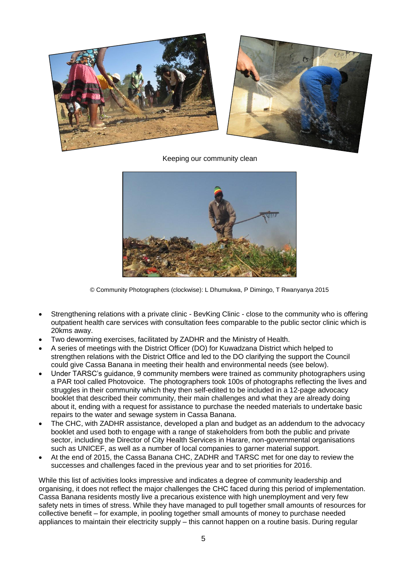

Keeping our community clean



© Community Photographers (clockwise): L Dhumukwa, P Dimingo, T Rwanyanya 2015

- Strengthening relations with a private clinic BevKing Clinic close to the community who is offering outpatient health care services with consultation fees comparable to the public sector clinic which is 20kms away.
- Two deworming exercises, facilitated by ZADHR and the Ministry of Health.
- A series of meetings with the District Officer (DO) for Kuwadzana District which helped to strengthen relations with the District Office and led to the DO clarifying the support the Council could give Cassa Banana in meeting their health and environmental needs (see below).
- Under TARSC's guidance, 9 community members were trained as community photographers using a PAR tool called Photovoice. The photographers took 100s of photographs reflecting the lives and struggles in their community which they then self-edited to be included in a 12-page advocacy booklet that described their community, their main challenges and what they are already doing about it, ending with a request for assistance to purchase the needed materials to undertake basic repairs to the water and sewage system in Cassa Banana.
- The CHC, with ZADHR assistance, developed a plan and budget as an addendum to the advocacy booklet and used both to engage with a range of stakeholders from both the public and private sector, including the Director of City Health Services in Harare, non-governmental organisations such as UNICEF, as well as a number of local companies to garner material support.
- At the end of 2015, the Cassa Banana CHC, ZADHR and TARSC met for one day to review the successes and challenges faced in the previous year and to set priorities for 2016.

While this list of activities looks impressive and indicates a degree of community leadership and organising, it does not reflect the major challenges the CHC faced during this period of implementation. Cassa Banana residents mostly live a precarious existence with high unemployment and very few safety nets in times of stress. While they have managed to pull together small amounts of resources for collective benefit – for example, in pooling together small amounts of money to purchase needed appliances to maintain their electricity supply – this cannot happen on a routine basis. During regular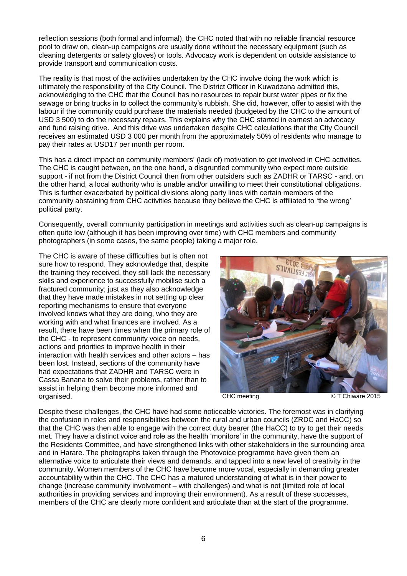reflection sessions (both formal and informal), the CHC noted that with no reliable financial resource pool to draw on, clean-up campaigns are usually done without the necessary equipment (such as cleaning detergents or safety gloves) or tools. Advocacy work is dependent on outside assistance to provide transport and communication costs.

The reality is that most of the activities undertaken by the CHC involve doing the work which is ultimately the responsibility of the City Council. The District Officer in Kuwadzana admitted this, acknowledging to the CHC that the Council has no resources to repair burst water pipes or fix the sewage or bring trucks in to collect the community's rubbish. She did, however, offer to assist with the labour if the community could purchase the materials needed (budgeted by the CHC to the amount of USD 3 500) to do the necessary repairs. This explains why the CHC started in earnest an advocacy and fund raising drive. And this drive was undertaken despite CHC calculations that the City Council receives an estimated USD 3 000 per month from the approximately 50% of residents who manage to pay their rates at USD17 per month per room.

This has a direct impact on community members' (lack of) motivation to get involved in CHC activities. The CHC is caught between, on the one hand, a disgruntled community who expect more outside support - if not from the District Council then from other outsiders such as ZADHR or TARSC - and, on the other hand, a local authority who is unable and/or unwilling to meet their constitutional obligations. This is further exacerbated by political divisions along party lines with certain members of the community abstaining from CHC activities because they believe the CHC is affiliated to 'the wrong' political party.

Consequently, overall community participation in meetings and activities such as clean-up campaigns is often quite low (although it has been improving over time) with CHC members and community photographers (in some cases, the same people) taking a major role.

The CHC is aware of these difficulties but is often not sure how to respond. They acknowledge that, despite the training they received, they still lack the necessary skills and experience to successfully mobilise such a fractured community; just as they also acknowledge that they have made mistakes in not setting up clear reporting mechanisms to ensure that everyone involved knows what they are doing, who they are working with and what finances are involved. As a result, there have been times when the primary role of the CHC - to represent community voice on needs, actions and priorities to improve health in their interaction with health services and other actors – has been lost. Instead, sections of the community have had expectations that ZADHR and TARSC were in Cassa Banana to solve their problems, rather than to assist in helping them become more informed and organised.



CHC meeting  $\qquad \qquad \odot$  T Chiware 2015

Despite these challenges, the CHC have had some noticeable victories. The foremost was in clarifying the confusion in roles and responsibilities between the rural and urban councils (ZRDC and HaCC) so that the CHC was then able to engage with the correct duty bearer (the HaCC) to try to get their needs met. They have a distinct voice and role as the health 'monitors' in the community, have the support of the Residents Committee, and have strengthened links with other stakeholders in the surrounding area and in Harare. The photographs taken through the Photovoice programme have given them an alternative voice to articulate their views and demands, and tapped into a new level of creativity in the community. Women members of the CHC have become more vocal, especially in demanding greater accountability within the CHC. The CHC has a matured understanding of what is in their power to change (increase community involvement – with challenges) and what is not (limited role of local authorities in providing services and improving their environment). As a result of these successes, members of the CHC are clearly more confident and articulate than at the start of the programme.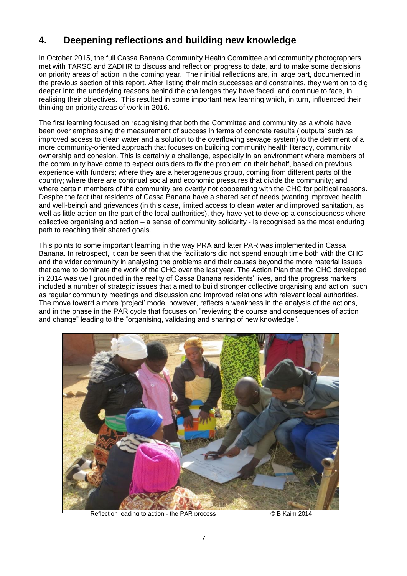## <span id="page-7-0"></span>**4. Deepening reflections and building new knowledge**

In October 2015, the full Cassa Banana Community Health Committee and community photographers met with TARSC and ZADHR to discuss and reflect on progress to date, and to make some decisions on priority areas of action in the coming year. Their initial reflections are, in large part, documented in the previous section of this report. After listing their main successes and constraints, they went on to dig deeper into the underlying reasons behind the challenges they have faced, and continue to face, in realising their objectives. This resulted in some important new learning which, in turn, influenced their thinking on priority areas of work in 2016.

The first learning focused on recognising that both the Committee and community as a whole have been over emphasising the measurement of success in terms of concrete results ('outputs' such as improved access to clean water and a solution to the overflowing sewage system) to the detriment of a more community-oriented approach that focuses on building community health literacy, community ownership and cohesion. This is certainly a challenge, especially in an environment where members of the community have come to expect outsiders to fix the problem on their behalf, based on previous experience with funders; where they are a heterogeneous group, coming from different parts of the country; where there are continual social and economic pressures that divide the community; and where certain members of the community are overtly not cooperating with the CHC for political reasons. Despite the fact that residents of Cassa Banana have a shared set of needs (wanting improved health and well-being) and grievances (in this case, limited access to clean water and improved sanitation, as well as little action on the part of the local authorities), they have yet to develop a consciousness where collective organising and action – a sense of community solidarity - is recognised as the most enduring path to reaching their shared goals.

This points to some important learning in the way PRA and later PAR was implemented in Cassa Banana. In retrospect, it can be seen that the facilitators did not spend enough time both with the CHC and the wider community in analysing the problems and their causes beyond the more material issues that came to dominate the work of the CHC over the last year. The Action Plan that the CHC developed in 2014 was well grounded in the reality of Cassa Banana residents' lives, and the progress markers included a number of strategic issues that aimed to build stronger collective organising and action, such as regular community meetings and discussion and improved relations with relevant local authorities. The move toward a more 'project' mode, however, reflects a weakness in the analysis of the actions, and in the phase in the PAR cycle that focuses on "reviewing the course and consequences of action and change" leading to the "organising, validating and sharing of new knowledge".



Reflection leading to action - the PAR process © B Kaim 2014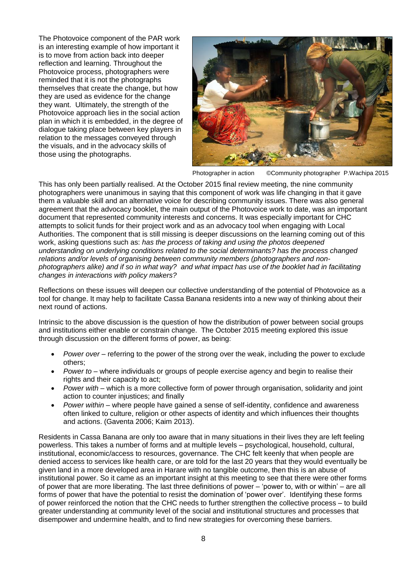The Photovoice component of the PAR work is an interesting example of how important it is to move from action back into deeper reflection and learning. Throughout the Photovoice process, photographers were reminded that it is not the photographs themselves that create the change, but how they are used as evidence for the change they want. Ultimately, the strength of the Photovoice approach lies in the social action plan in which it is embedded, in the degree of dialogue taking place between key players in relation to the messages conveyed through the visuals, and in the advocacy skills of those using the photographs.



Photographer in action ©Community photographer P.Wachipa 2015

This has only been partially realised. At the October 2015 final review meeting, the nine community photographers were unanimous in saying that this component of work was life changing in that it gave them a valuable skill and an alternative voice for describing community issues. There was also general agreement that the advocacy booklet, the main output of the Photovoice work to date, was an important document that represented community interests and concerns. It was especially important for CHC attempts to solicit funds for their project work and as an advocacy tool when engaging with Local Authorities. The component that is still missing is deeper discussions on the learning coming out of this work, asking questions such as: *has the process of taking and using the photos deepened understanding on underlying conditions related to the social determinants? has the process changed relations and/or levels of organising between community members (photographers and nonphotographers alike) and if so in what way? and what impact has use of the booklet had in facilitating changes in interactions with policy makers?*

Reflections on these issues will deepen our collective understanding of the potential of Photovoice as a tool for change. It may help to facilitate Cassa Banana residents into a new way of thinking about their next round of actions.

Intrinsic to the above discussion is the question of how the distribution of power between social groups and institutions either enable or constrain change. The October 2015 meeting explored this issue through discussion on the different forms of power, as being:

- *Power over* referring to the power of the strong over the weak, including the power to exclude others;
- *Power to* where individuals or groups of people exercise agency and begin to realise their rights and their capacity to act;
- *Power with* which is a more collective form of power through organisation, solidarity and joint action to counter injustices; and finally
- *Power within* where people have gained a sense of self*-*identity, confidence and awareness often linked to culture, religion or other aspects of identity and which influences their thoughts and actions. (Gaventa 2006; Kaim 2013).

Residents in Cassa Banana are only too aware that in many situations in their lives they are left feeling powerless. This takes a number of forms and at multiple levels – psychological, household, cultural, institutional, economic/access to resources, governance. The CHC felt keenly that when people are denied access to services like health care, or are told for the last 20 years that they would eventually be given land in a more developed area in Harare with no tangible outcome, then this is an abuse of institutional power. So it came as an important insight at this meeting to see that there were other forms of power that are more liberating. The last three definitions of power – 'power to, with or within' – are all forms of power that have the potential to resist the domination of 'power over'. Identifying these forms of power reinforced the notion that the CHC needs to further strengthen the collective process – to build greater understanding at community level of the social and institutional structures and processes that disempower and undermine health, and to find new strategies for overcoming these barriers.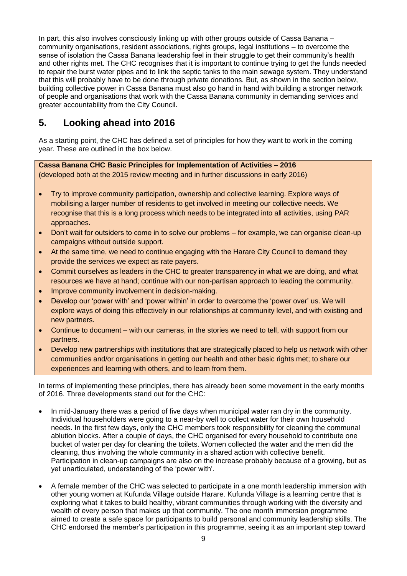In part, this also involves consciously linking up with other groups outside of Cassa Banana – community organisations, resident associations, rights groups, legal institutions – to overcome the sense of isolation the Cassa Banana leadership feel in their struggle to get their community's health and other rights met. The CHC recognises that it is important to continue trying to get the funds needed to repair the burst water pipes and to link the septic tanks to the main sewage system. They understand that this will probably have to be done through private donations. But, as shown in the section below, building collective power in Cassa Banana must also go hand in hand with building a stronger network of people and organisations that work with the Cassa Banana community in demanding services and greater accountability from the City Council.

### <span id="page-9-0"></span>**5. Looking ahead into 2016**

As a starting point, the CHC has defined a set of principles for how they want to work in the coming year. These are outlined in the box below.

**Cassa Banana CHC Basic Principles for Implementation of Activities – 2016** (developed both at the 2015 review meeting and in further discussions in early 2016)

- Try to improve community participation, ownership and collective learning. Explore ways of mobilising a larger number of residents to get involved in meeting our collective needs. We recognise that this is a long process which needs to be integrated into all activities, using PAR approaches.
- Don't wait for outsiders to come in to solve our problems for example, we can organise clean-up campaigns without outside support.
- At the same time, we need to continue engaging with the Harare City Council to demand they provide the services we expect as rate payers.
- Commit ourselves as leaders in the CHC to greater transparency in what we are doing, and what resources we have at hand; continue with our non-partisan approach to leading the community.
- Improve community involvement in decision-making.
- Develop our 'power with' and 'power within' in order to overcome the 'power over' us. We will explore ways of doing this effectively in our relationships at community level, and with existing and new partners.
- Continue to document with our cameras, in the stories we need to tell, with support from our partners.
- Develop new partnerships with institutions that are strategically placed to help us network with other communities and/or organisations in getting our health and other basic rights met; to share our experiences and learning with others, and to learn from them.

In terms of implementing these principles, there has already been some movement in the early months of 2016. Three developments stand out for the CHC:

- In mid-January there was a period of five days when municipal water ran dry in the community. Individual householders were going to a near-by well to collect water for their own household needs. In the first few days, only the CHC members took responsibility for cleaning the communal ablution blocks. After a couple of days, the CHC organised for every household to contribute one bucket of water per day for cleaning the toilets. Women collected the water and the men did the cleaning, thus involving the whole community in a shared action with collective benefit. Participation in clean-up campaigns are also on the increase probably because of a growing, but as yet unarticulated, understanding of the 'power with'.
- A female member of the CHC was selected to participate in a one month leadership immersion with other young women at Kufunda Village outside Harare. Kufunda Village is a learning centre that is exploring what it takes to build healthy, vibrant communities through working with the diversity and wealth of every person that makes up that community. The one month immersion programme aimed to create a safe space for participants to build personal and community leadership skills. The CHC endorsed the member's participation in this programme, seeing it as an important step toward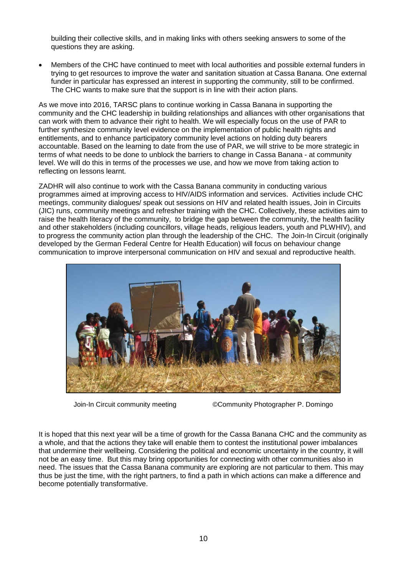building their collective skills, and in making links with others seeking answers to some of the questions they are asking.

 Members of the CHC have continued to meet with local authorities and possible external funders in trying to get resources to improve the water and sanitation situation at Cassa Banana. One external funder in particular has expressed an interest in supporting the community, still to be confirmed. The CHC wants to make sure that the support is in line with their action plans.

As we move into 2016, TARSC plans to continue working in Cassa Banana in supporting the community and the CHC leadership in building relationships and alliances with other organisations that can work with them to advance their right to health. We will especially focus on the use of PAR to further synthesize community level evidence on the implementation of public health rights and entitlements, and to enhance participatory community level actions on holding duty bearers accountable. Based on the learning to date from the use of PAR, we will strive to be more strategic in terms of what needs to be done to unblock the barriers to change in Cassa Banana - at community level. We will do this in terms of the processes we use, and how we move from taking action to reflecting on lessons learnt.

ZADHR will also continue to work with the Cassa Banana community in conducting various programmes aimed at improving access to HIV/AIDS information and services. Activities include CHC meetings, community dialogues/ speak out sessions on HIV and related health issues, Join in Circuits (JIC) runs, community meetings and refresher training with the CHC. Collectively, these activities aim to raise the health literacy of the community, to bridge the gap between the community, the health facility and other stakeholders (including councillors, village heads, religious leaders, youth and PLWHIV), and to progress the community action plan through the leadership of the CHC. The Join-In Circuit (originally developed by the German Federal Centre for Health Education) will focus on behaviour change communication to improve interpersonal communication on HIV and sexual and reproductive health.



Join-In Circuit community meeting ©Community Photographer P. Domingo

It is hoped that this next year will be a time of growth for the Cassa Banana CHC and the community as a whole, and that the actions they take will enable them to contest the institutional power imbalances that undermine their wellbeing. Considering the political and economic uncertainty in the country, it will not be an easy time. But this may bring opportunities for connecting with other communities also in need. The issues that the Cassa Banana community are exploring are not particular to them. This may thus be just the time, with the right partners, to find a path in which actions can make a difference and become potentially transformative.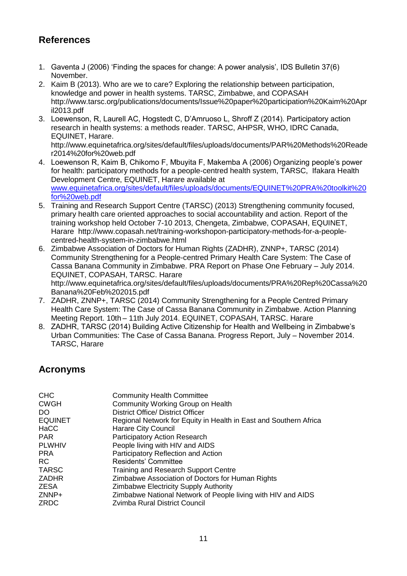## <span id="page-11-0"></span>**References**

- 1. Gaventa J (2006) 'Finding the spaces for change: A power analysis', IDS Bulletin 37(6) November.
- 2. Kaim B (2013). Who are we to care? Exploring the relationship between participation, knowledge and power in health systems. TARSC, Zimbabwe, and COPASAH http://www.tarsc.org/publications/documents/Issue%20paper%20participation%20Kaim%20Apr il2013.pdf
- 3. Loewenson, R, Laurell AC, Hogstedt C, D'Amruoso L, Shroff Z (2014). Participatory action research in health systems: a methods reader. TARSC, AHPSR, WHO, IDRC Canada, EQUINET, Harare.

http://www.equinetafrica.org/sites/default/files/uploads/documents/PAR%20Methods%20Reade r2014%20for%20web.pdf

- 4. Loewenson R, Kaim B, Chikomo F, Mbuyita F, Makemba A (2006) Organizing people's power for health: participatory methods for a people-centred health system, TARSC, Ifakara Health Development Centre, EQUINET, Harare available at [www.equinetafrica.org/sites/default/files/uploads/documents/EQUINET%20PRA%20toolkit%20](http://www.equinetafrica.org/sites/default/files/uploads/documents/EQUINET%20PRA%20toolkit%20for%20web.pdf) [for%20web.pdf](http://www.equinetafrica.org/sites/default/files/uploads/documents/EQUINET%20PRA%20toolkit%20for%20web.pdf)
- 5. Training and Research Support Centre (TARSC) (2013) Strengthening community focused, primary health care oriented approaches to social accountability and action. Report of the training workshop held October 7-10 2013, Chengeta, Zimbabwe, COPASAH, EQUINET, Harare http://www.copasah.net/training-workshopon-participatory-methods-for-a-peoplecentred-health-system-in-zimbabwe.html
- 6. Zimbabwe Association of Doctors for Human Rights (ZADHR), ZNNP+, TARSC (2014) Community Strengthening for a People-centred Primary Health Care System: The Case of Cassa Banana Community in Zimbabwe. PRA Report on Phase One February – July 2014. EQUINET, COPASAH, TARSC. Harare

http://www.equinetafrica.org/sites/default/files/uploads/documents/PRA%20Rep%20Cassa%20 Banana%20Feb%202015.pdf

- 7. ZADHR, ZNNP+, TARSC (2014) Community Strengthening for a People Centred Primary Health Care System: The Case of Cassa Banana Community in Zimbabwe. Action Planning Meeting Report. 10th – 11th July 2014. EQUINET, COPASAH, TARSC. Harare
- 8. ZADHR, TARSC (2014) Building Active Citizenship for Health and Wellbeing in Zimbabwe's Urban Communities: The Case of Cassa Banana. Progress Report, July – November 2014. TARSC, Harare

## <span id="page-11-1"></span>**Acronyms**

| <b>CHC</b><br><b>CWGH</b> | <b>Community Health Committee</b><br>Community Working Group on Health |
|---------------------------|------------------------------------------------------------------------|
| DO.                       | District Office/ District Officer                                      |
| <b>EQUINET</b>            | Regional Network for Equity in Health in East and Southern Africa      |
| HaCC                      | <b>Harare City Council</b>                                             |
| <b>PAR</b>                | Participatory Action Research                                          |
| <b>PLWHIV</b>             | People living with HIV and AIDS                                        |
| <b>PRA</b>                | Participatory Reflection and Action                                    |
| RC.                       | Residents' Committee                                                   |
| <b>TARSC</b>              | Training and Research Support Centre                                   |
| <b>ZADHR</b>              | Zimbabwe Association of Doctors for Human Rights                       |
| <b>ZESA</b>               | Zimbabwe Electricity Supply Authority                                  |
| ZNNP+                     | Zimbabwe National Network of People living with HIV and AIDS           |
| <b>ZRDC</b>               | Zvimba Rural District Council                                          |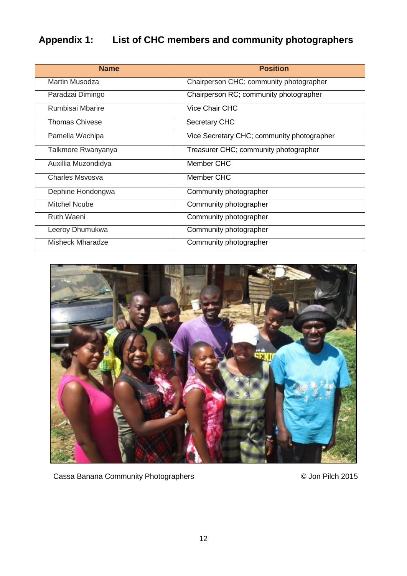## <span id="page-12-0"></span>**Appendix 1: List of CHC members and community photographers**

| <b>Name</b>           | <b>Position</b>                            |
|-----------------------|--------------------------------------------|
| Martin Musodza        | Chairperson CHC; community photographer    |
| Paradzai Dimingo      | Chairperson RC; community photographer     |
| Rumbisai Mbarire      | Vice Chair CHC                             |
| <b>Thomas Chivese</b> | <b>Secretary CHC</b>                       |
| Pamella Wachipa       | Vice Secretary CHC; community photographer |
| Talkmore Rwanyanya    | Treasurer CHC; community photographer      |
| Auxillia Muzondidya   | Member CHC                                 |
| Charles Msyosya       | Member CHC                                 |
| Dephine Hondongwa     | Community photographer                     |
| <b>Mitchel Ncube</b>  | Community photographer                     |
| <b>Ruth Waeni</b>     | Community photographer                     |
| Leeroy Dhumukwa       | Community photographer                     |
| Misheck Mharadze      | Community photographer                     |



Cassa Banana Community Photographers **Cassa Banana** Community Photographers **Cassa Community** Photographers